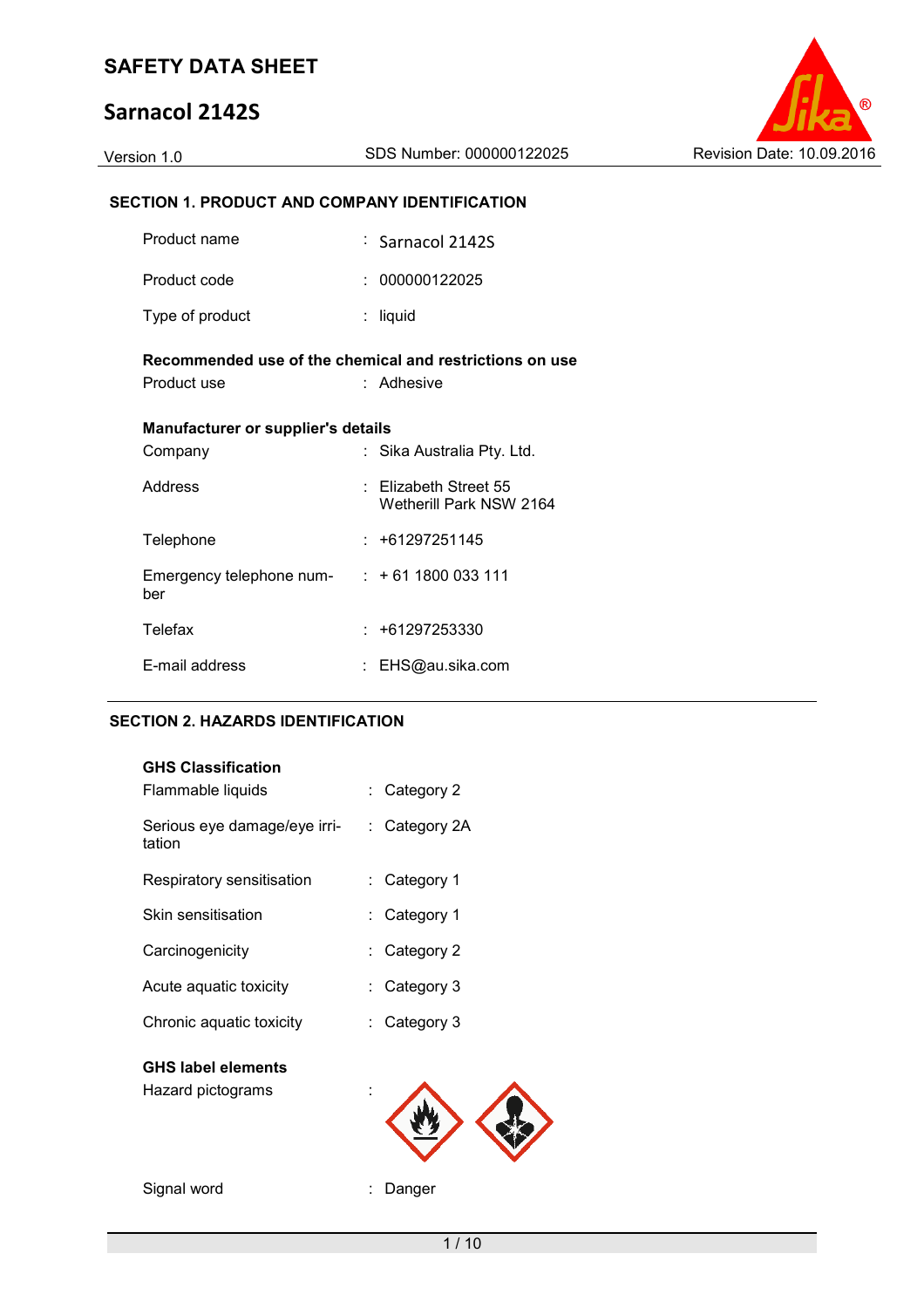# **Sarnacol 2142S**



| Version 1.0                                          | SDS Number: 000000122025                                | Revision Date: 10.09.2016 |
|------------------------------------------------------|---------------------------------------------------------|---------------------------|
|                                                      |                                                         |                           |
| <b>SECTION 1. PRODUCT AND COMPANY IDENTIFICATION</b> |                                                         |                           |
| Product name                                         | $\frac{1}{2}$ Sarnacol 2142S                            |                           |
| Product code                                         | : 000000122025                                          |                           |
| Type of product                                      | $:$ liquid                                              |                           |
|                                                      | Recommended use of the chemical and restrictions on use |                           |
| Product use                                          | : Adhesive                                              |                           |
| Manufacturer or supplier's details                   |                                                         |                           |
| Company                                              | : Sika Australia Pty. Ltd.                              |                           |
| Address                                              | : Elizabeth Street 55<br>Wetherill Park NSW 2164        |                           |
| Telephone                                            | $: +61297251145$                                        |                           |
| Emergency telephone num-<br>ber                      | $: +611800033111$                                       |                           |
| Telefax                                              | $: +61297253330$                                        |                           |

# E-mail address : EHS@au.sika.com

#### **SECTION 2. HAZARDS IDENTIFICATION**

| <b>GHS Classification</b>              |                         |
|----------------------------------------|-------------------------|
| Flammable liquids                      | $\therefore$ Category 2 |
| Serious eye damage/eye irri-<br>tation | $:$ Category 2A         |
| Respiratory sensitisation              | : Category 1            |
| Skin sensitisation                     | : Category 1            |
| Carcinogenicity                        | $\therefore$ Category 2 |
| Acute aquatic toxicity                 | : Category 3            |
| Chronic aquatic toxicity               | : Category 3            |
|                                        |                         |

### **GHS label elements**

| Hazard pictograms |  |
|-------------------|--|
|                   |  |



Signal word **: Danger**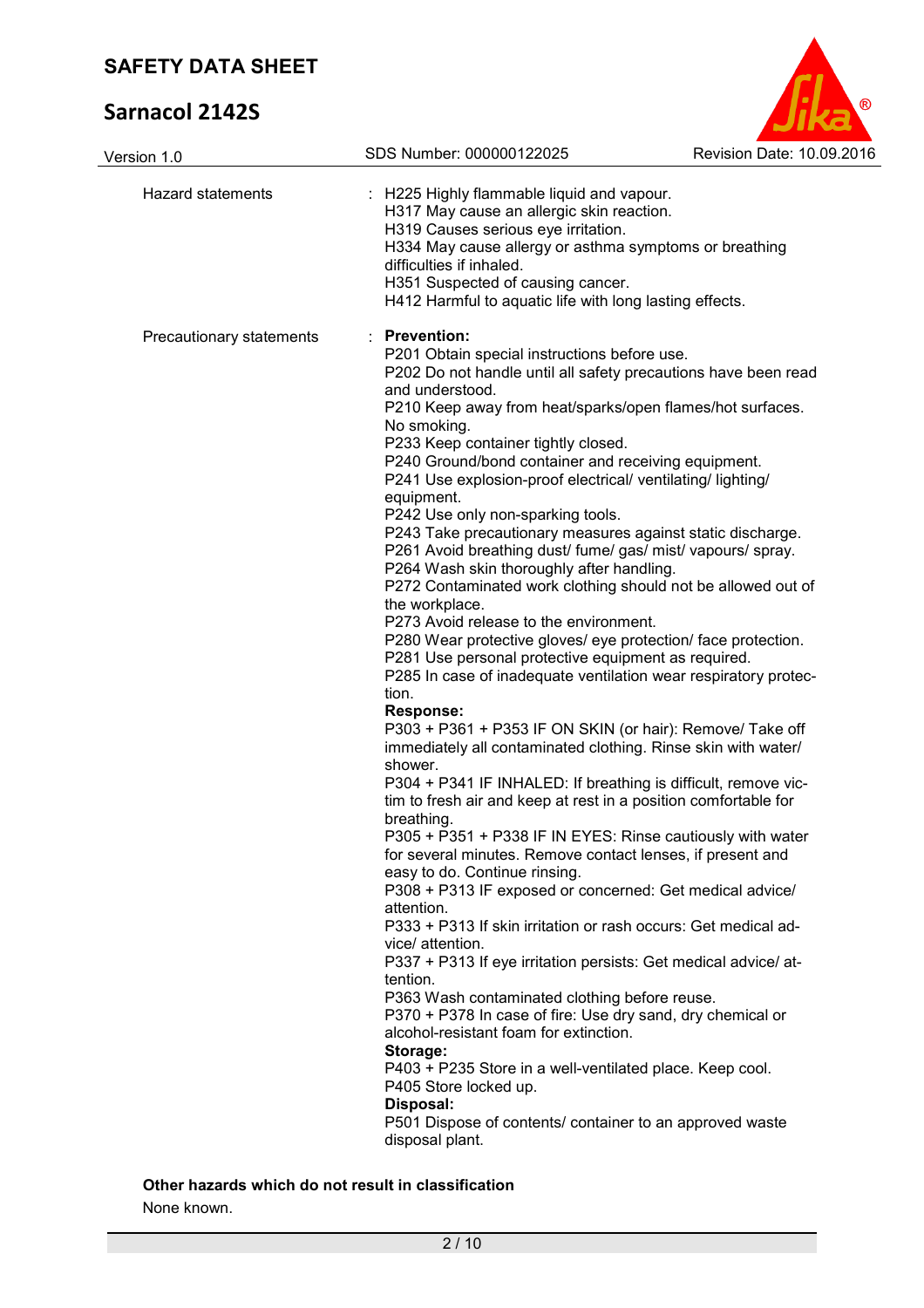# **Sarnacol 2142S**



| Version 1.0              | SDS Number: 000000122025                                                                                             | Revision Date: 10.09.2016 |
|--------------------------|----------------------------------------------------------------------------------------------------------------------|---------------------------|
| <b>Hazard statements</b> | : H225 Highly flammable liquid and vapour.                                                                           |                           |
|                          | H317 May cause an allergic skin reaction.                                                                            |                           |
|                          | H319 Causes serious eye irritation.<br>H334 May cause allergy or asthma symptoms or breathing                        |                           |
|                          | difficulties if inhaled.                                                                                             |                           |
|                          | H351 Suspected of causing cancer.                                                                                    |                           |
|                          | H412 Harmful to aquatic life with long lasting effects.                                                              |                           |
| Precautionary statements | : Prevention:                                                                                                        |                           |
|                          | P201 Obtain special instructions before use.                                                                         |                           |
|                          | P202 Do not handle until all safety precautions have been read                                                       |                           |
|                          | and understood.                                                                                                      |                           |
|                          | P210 Keep away from heat/sparks/open flames/hot surfaces.                                                            |                           |
|                          | No smoking.<br>P233 Keep container tightly closed.                                                                   |                           |
|                          | P240 Ground/bond container and receiving equipment.                                                                  |                           |
|                          | P241 Use explosion-proof electrical/ventilating/lighting/                                                            |                           |
|                          | equipment.                                                                                                           |                           |
|                          | P242 Use only non-sparking tools.                                                                                    |                           |
|                          | P243 Take precautionary measures against static discharge.                                                           |                           |
|                          | P261 Avoid breathing dust/ fume/ gas/ mist/ vapours/ spray.                                                          |                           |
|                          | P264 Wash skin thoroughly after handling.                                                                            |                           |
|                          | P272 Contaminated work clothing should not be allowed out of                                                         |                           |
|                          | the workplace.                                                                                                       |                           |
|                          | P273 Avoid release to the environment.                                                                               |                           |
|                          | P280 Wear protective gloves/ eye protection/ face protection.<br>P281 Use personal protective equipment as required. |                           |
|                          | P285 In case of inadequate ventilation wear respiratory protec-                                                      |                           |
|                          | tion.                                                                                                                |                           |
|                          | <b>Response:</b>                                                                                                     |                           |
|                          | P303 + P361 + P353 IF ON SKIN (or hair): Remove/ Take off                                                            |                           |
|                          | immediately all contaminated clothing. Rinse skin with water/                                                        |                           |
|                          | shower.                                                                                                              |                           |
|                          | P304 + P341 IF INHALED: If breathing is difficult, remove vic-                                                       |                           |
|                          | tim to fresh air and keep at rest in a position comfortable for                                                      |                           |
|                          | breathing.                                                                                                           |                           |
|                          | P305 + P351 + P338 IF IN EYES: Rinse cautiously with water                                                           |                           |
|                          | for several minutes. Remove contact lenses, if present and<br>easy to do. Continue rinsing.                          |                           |
|                          | P308 + P313 IF exposed or concerned: Get medical advice/                                                             |                           |
|                          | attention.                                                                                                           |                           |
|                          | P333 + P313 If skin irritation or rash occurs: Get medical ad-                                                       |                           |
|                          | vice/ attention.                                                                                                     |                           |
|                          | P337 + P313 If eye irritation persists: Get medical advice/ at-                                                      |                           |
|                          | tention.                                                                                                             |                           |
|                          | P363 Wash contaminated clothing before reuse.                                                                        |                           |
|                          | P370 + P378 In case of fire: Use dry sand, dry chemical or                                                           |                           |
|                          | alcohol-resistant foam for extinction.                                                                               |                           |
|                          | Storage:                                                                                                             |                           |
|                          | P403 + P235 Store in a well-ventilated place. Keep cool.                                                             |                           |
|                          | P405 Store locked up.                                                                                                |                           |
|                          | Disposal:                                                                                                            |                           |
|                          | P501 Dispose of contents/ container to an approved waste                                                             |                           |
|                          | disposal plant.                                                                                                      |                           |

None known.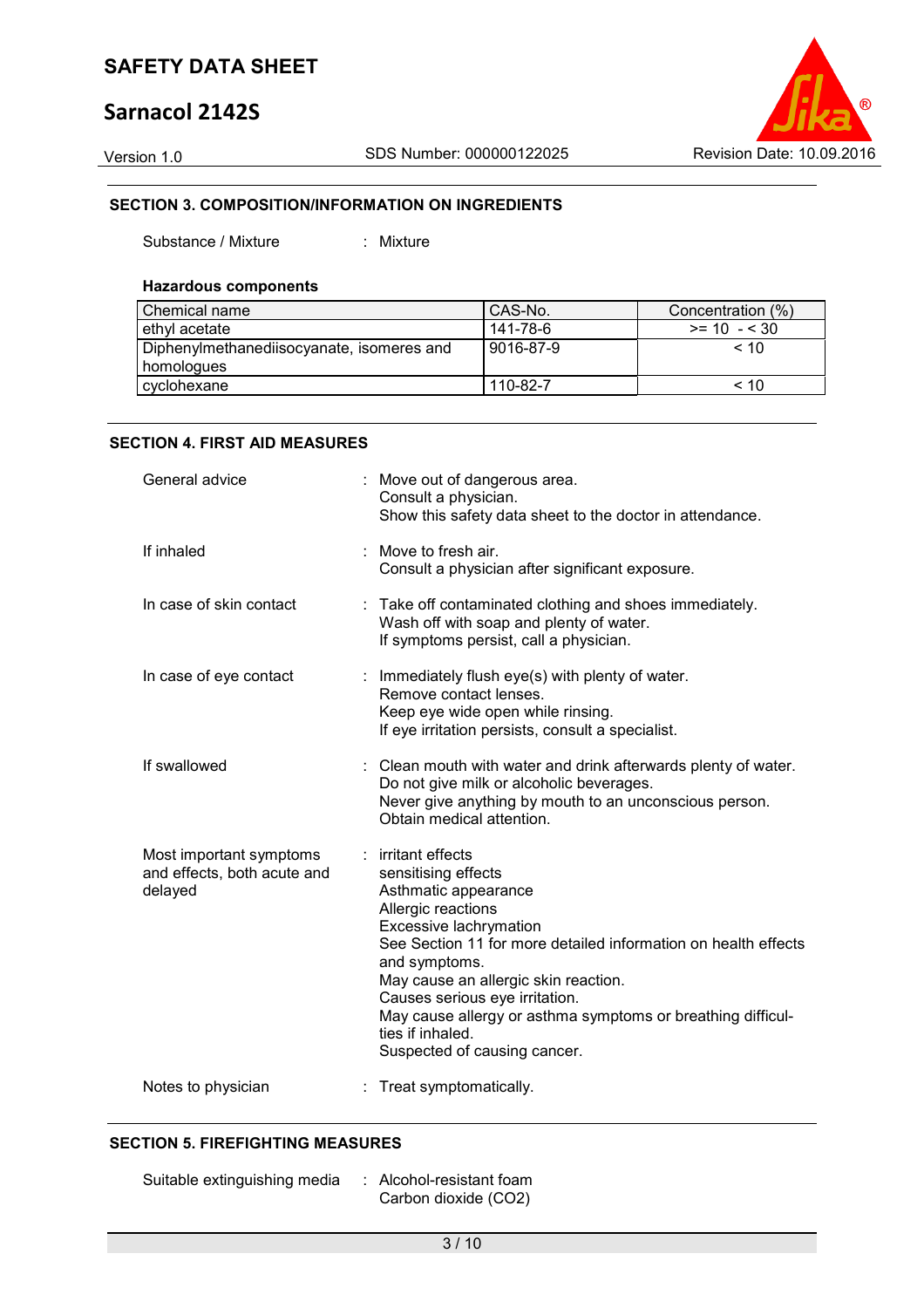# **Sarnacol 2142S**

Version 1.0 SDS Number: 000000122025 Revision Date: 10.09.2016

### **SECTION 3. COMPOSITION/INFORMATION ON INGREDIENTS**

Substance / Mixture : Mixture

#### **Hazardous components**

| Chemical name                             | CAS-No.   | Concentration (%) |
|-------------------------------------------|-----------|-------------------|
| ethyl acetate                             | 141-78-6  | $>= 10 - 530$     |
| Diphenylmethanediisocyanate, isomeres and | 9016-87-9 | $~<$ 10           |
| homologues                                |           |                   |
| cyclohexane                               | 110-82-7  | $~<$ 10           |

#### **SECTION 4. FIRST AID MEASURES**

| General advice                                                    |   | : Move out of dangerous area.<br>Consult a physician.<br>Show this safety data sheet to the doctor in attendance.                                                                                                                                                                                                                                                                               |
|-------------------------------------------------------------------|---|-------------------------------------------------------------------------------------------------------------------------------------------------------------------------------------------------------------------------------------------------------------------------------------------------------------------------------------------------------------------------------------------------|
| If inhaled                                                        |   | Move to fresh air.<br>Consult a physician after significant exposure.                                                                                                                                                                                                                                                                                                                           |
| In case of skin contact                                           | ÷ | Take off contaminated clothing and shoes immediately.<br>Wash off with soap and plenty of water.<br>If symptoms persist, call a physician.                                                                                                                                                                                                                                                      |
| In case of eye contact                                            |   | : Immediately flush eye(s) with plenty of water.<br>Remove contact lenses.<br>Keep eye wide open while rinsing.<br>If eye irritation persists, consult a specialist.                                                                                                                                                                                                                            |
| If swallowed                                                      |   | : Clean mouth with water and drink afterwards plenty of water.<br>Do not give milk or alcoholic beverages.<br>Never give anything by mouth to an unconscious person.<br>Obtain medical attention.                                                                                                                                                                                               |
| Most important symptoms<br>and effects, both acute and<br>delayed | ÷ | irritant effects<br>sensitising effects<br>Asthmatic appearance<br>Allergic reactions<br>Excessive lachrymation<br>See Section 11 for more detailed information on health effects<br>and symptoms.<br>May cause an allergic skin reaction.<br>Causes serious eye irritation.<br>May cause allergy or asthma symptoms or breathing difficul-<br>ties if inhaled.<br>Suspected of causing cancer. |
| Notes to physician                                                |   | Treat symptomatically.                                                                                                                                                                                                                                                                                                                                                                          |

#### **SECTION 5. FIREFIGHTING MEASURES**

Suitable extinguishing media : Alcohol-resistant foam Carbon dioxide (CO2)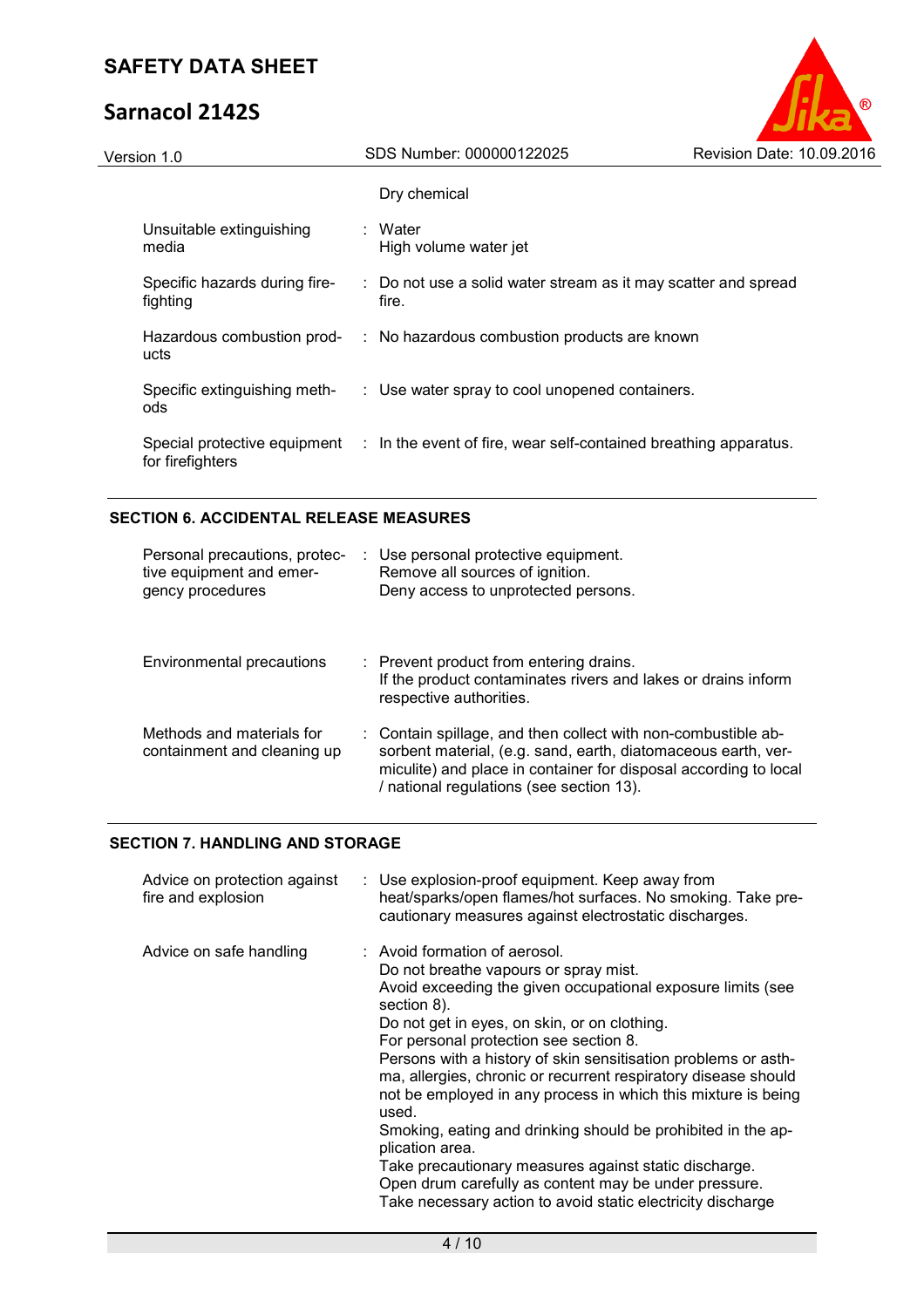# **Sarnacol 2142S**



| Version 1.0 |                                           | SDS Number: 000000122025                                                                      | Revision Date: 10.09.2016 |  |
|-------------|-------------------------------------------|-----------------------------------------------------------------------------------------------|---------------------------|--|
|             |                                           | Dry chemical                                                                                  |                           |  |
|             | Unsuitable extinguishing<br>media         | : Water<br>High volume water jet                                                              |                           |  |
|             | Specific hazards during fire-<br>fighting | : Do not use a solid water stream as it may scatter and spread<br>fire.                       |                           |  |
|             | Hazardous combustion prod-<br>ucts        | : No hazardous combustion products are known                                                  |                           |  |
|             | Specific extinguishing meth-<br>ods       | : Use water spray to cool unopened containers.                                                |                           |  |
|             | for firefighters                          | Special protective equipment : In the event of fire, wear self-contained breathing apparatus. |                           |  |
|             |                                           |                                                                                               |                           |  |

#### **SECTION 6. ACCIDENTAL RELEASE MEASURES**

| Personal precautions, protec-<br>tive equipment and emer-<br>gency procedures | : Use personal protective equipment.<br>Remove all sources of ignition.<br>Deny access to unprotected persons.                                                                                                                                 |
|-------------------------------------------------------------------------------|------------------------------------------------------------------------------------------------------------------------------------------------------------------------------------------------------------------------------------------------|
| Environmental precautions                                                     | : Prevent product from entering drains.<br>If the product contaminates rivers and lakes or drains inform<br>respective authorities.                                                                                                            |
| Methods and materials for<br>containment and cleaning up                      | : Contain spillage, and then collect with non-combustible ab-<br>sorbent material, (e.g. sand, earth, diatomaceous earth, ver-<br>miculite) and place in container for disposal according to local<br>/ national regulations (see section 13). |

### **SECTION 7. HANDLING AND STORAGE**

| Advice on protection against<br>fire and explosion | : Use explosion-proof equipment. Keep away from<br>heat/sparks/open flames/hot surfaces. No smoking. Take pre-<br>cautionary measures against electrostatic discharges.                                                                                                                                                                                                                                                                                                                                                                                                                                                                                                                                                          |
|----------------------------------------------------|----------------------------------------------------------------------------------------------------------------------------------------------------------------------------------------------------------------------------------------------------------------------------------------------------------------------------------------------------------------------------------------------------------------------------------------------------------------------------------------------------------------------------------------------------------------------------------------------------------------------------------------------------------------------------------------------------------------------------------|
| Advice on safe handling                            | : Avoid formation of aerosol.<br>Do not breathe vapours or spray mist.<br>Avoid exceeding the given occupational exposure limits (see<br>section 8).<br>Do not get in eyes, on skin, or on clothing.<br>For personal protection see section 8.<br>Persons with a history of skin sensitisation problems or asth-<br>ma, allergies, chronic or recurrent respiratory disease should<br>not be employed in any process in which this mixture is being<br>used.<br>Smoking, eating and drinking should be prohibited in the ap-<br>plication area.<br>Take precautionary measures against static discharge.<br>Open drum carefully as content may be under pressure.<br>Take necessary action to avoid static electricity discharge |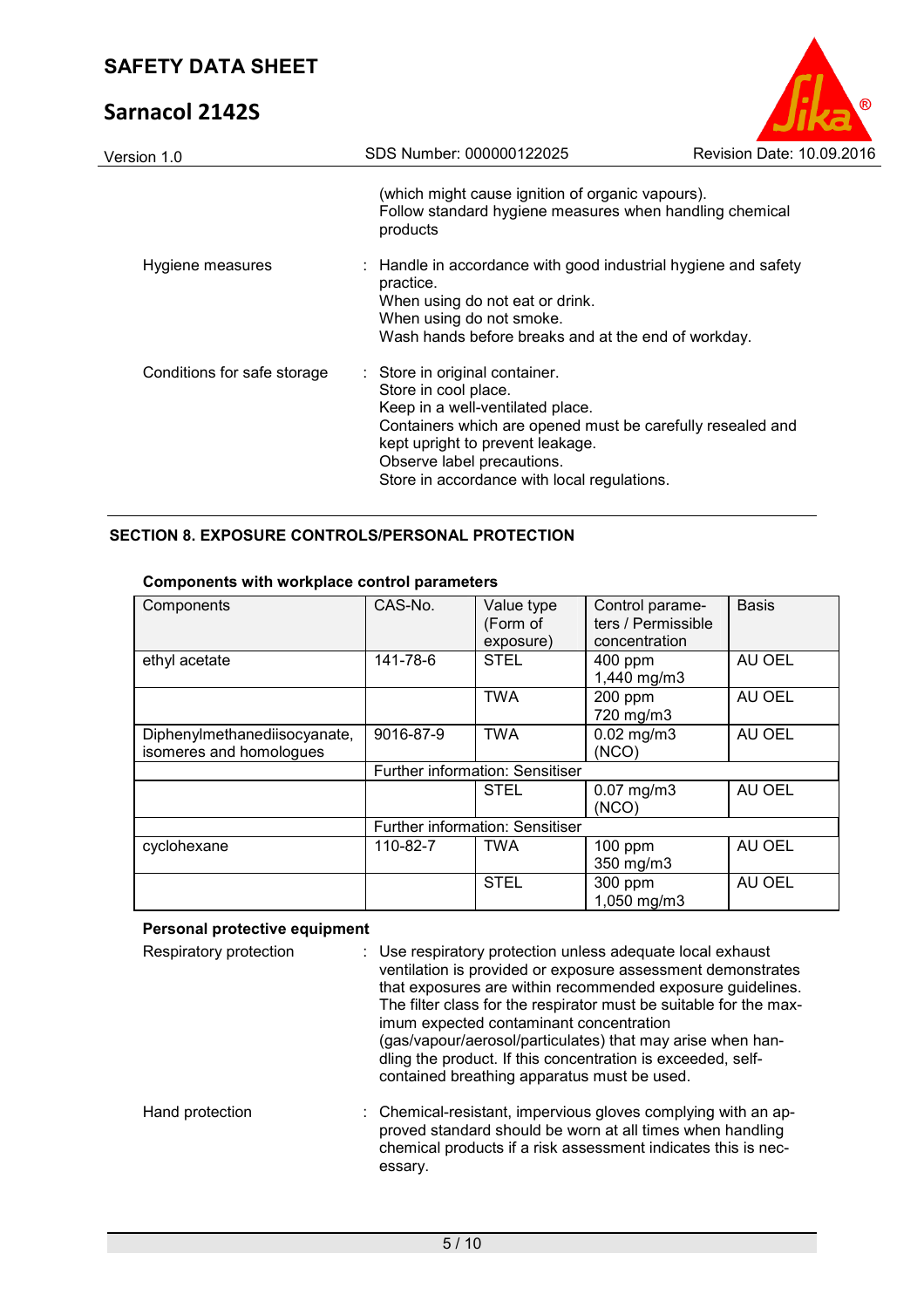# **Sarnacol 2142S**

| <b>SAFETY DATA SHEET</b>    |                                                                                                                                                                                                                                                                           |                           |
|-----------------------------|---------------------------------------------------------------------------------------------------------------------------------------------------------------------------------------------------------------------------------------------------------------------------|---------------------------|
| <b>Sarnacol 2142S</b>       |                                                                                                                                                                                                                                                                           |                           |
| Version 1.0                 | SDS Number: 000000122025                                                                                                                                                                                                                                                  | Revision Date: 10.09.2016 |
|                             | (which might cause ignition of organic vapours).<br>Follow standard hygiene measures when handling chemical<br>products                                                                                                                                                   |                           |
| Hygiene measures            | : Handle in accordance with good industrial hygiene and safety<br>practice.<br>When using do not eat or drink.<br>When using do not smoke.<br>Wash hands before breaks and at the end of workday.                                                                         |                           |
| Conditions for safe storage | : Store in original container.<br>Store in cool place.<br>Keep in a well-ventilated place.<br>Containers which are opened must be carefully resealed and<br>kept upright to prevent leakage.<br>Observe label precautions.<br>Store in accordance with local regulations. |                           |

### **SECTION 8. EXPOSURE CONTROLS/PERSONAL PROTECTION**

| Components                   | CAS-No.   | Value type                      | Control parame-    | <b>Basis</b> |
|------------------------------|-----------|---------------------------------|--------------------|--------------|
|                              |           | (Form of                        | ters / Permissible |              |
|                              |           | exposure)                       | concentration      |              |
| ethyl acetate                | 141-78-6  | <b>STEL</b>                     | 400 ppm            | AU OEL       |
|                              |           |                                 | 1,440 mg/m3        |              |
|                              |           | <b>TWA</b>                      | 200 ppm            | AU OEL       |
|                              |           |                                 | 720 mg/m3          |              |
| Diphenylmethanediisocyanate, | 9016-87-9 | <b>TWA</b>                      | $0.02$ mg/m $3$    | AU OEL       |
| isomeres and homologues      |           |                                 | (NCO)              |              |
|                              |           | Further information: Sensitiser |                    |              |
|                              |           | <b>STEL</b>                     | $0.07$ mg/m $3$    | AU OEL       |
|                              |           |                                 | (NCO)              |              |
|                              |           | Further information: Sensitiser |                    |              |
| cyclohexane                  | 110-82-7  | <b>TWA</b>                      | $100$ ppm          | AU OEL       |
|                              |           |                                 | 350 mg/m3          |              |
|                              |           | <b>STEL</b>                     | 300 ppm            | AU OEL       |
|                              |           |                                 | 1,050 mg/m3        |              |

### **Components with workplace control parameters**

#### **Personal protective equipment**

| Respiratory protection | : Use respiratory protection unless adequate local exhaust<br>ventilation is provided or exposure assessment demonstrates<br>that exposures are within recommended exposure guidelines.<br>The filter class for the respirator must be suitable for the max-<br>imum expected contaminant concentration<br>(gas/vapour/aerosol/particulates) that may arise when han-<br>dling the product. If this concentration is exceeded, self-<br>contained breathing apparatus must be used. |
|------------------------|-------------------------------------------------------------------------------------------------------------------------------------------------------------------------------------------------------------------------------------------------------------------------------------------------------------------------------------------------------------------------------------------------------------------------------------------------------------------------------------|
| Hand protection        | : Chemical-resistant, impervious gloves complying with an ap-<br>proved standard should be worn at all times when handling<br>chemical products if a risk assessment indicates this is nec-<br>essary.                                                                                                                                                                                                                                                                              |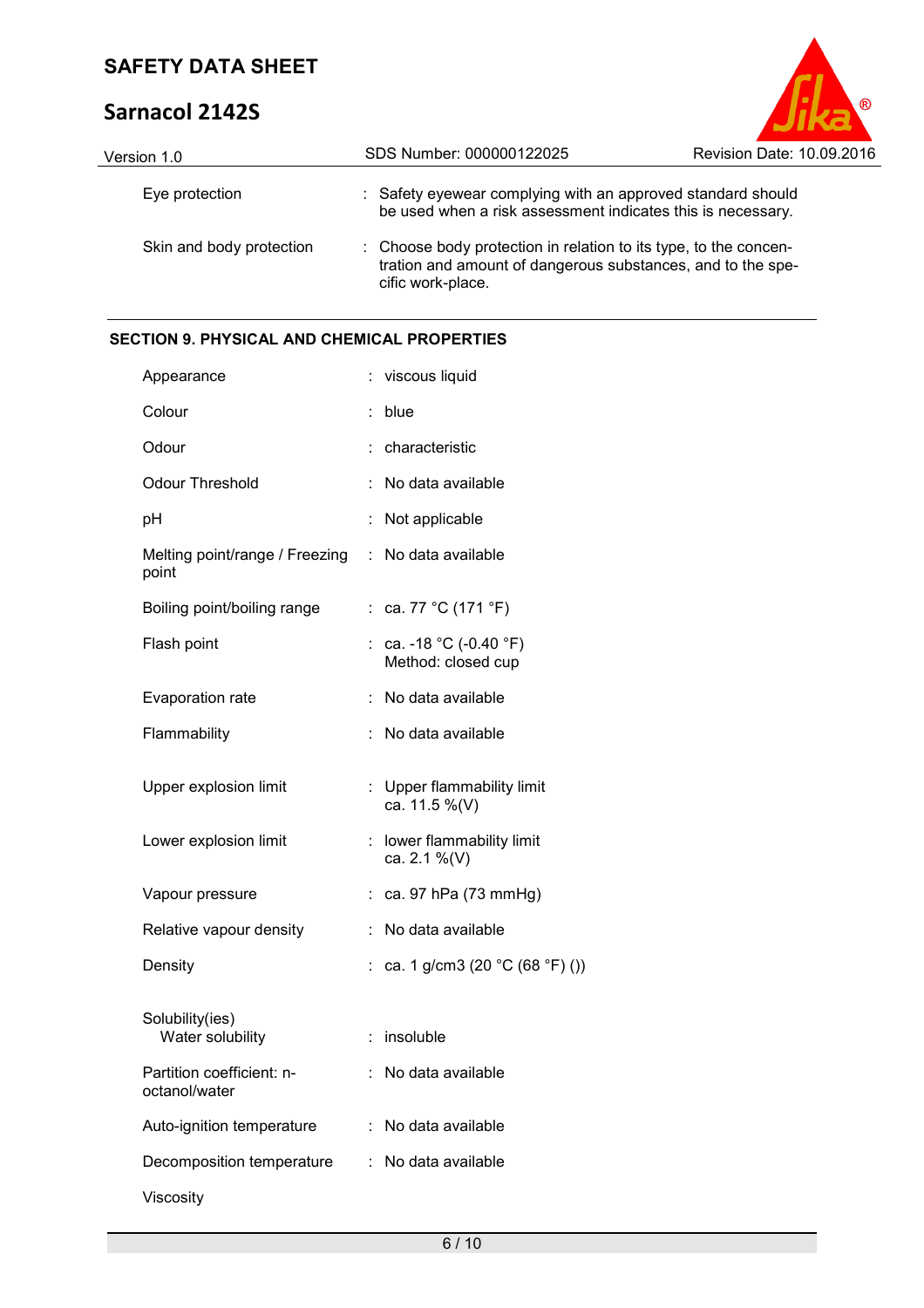# **Sarnacol 2142S**



| Version 1.0              | SDS Number: 000000122025                                                                                                                             | Revision Date: 10.09.2016 |  |  |
|--------------------------|------------------------------------------------------------------------------------------------------------------------------------------------------|---------------------------|--|--|
| Eye protection           | : Safety eyewear complying with an approved standard should<br>be used when a risk assessment indicates this is necessary.                           |                           |  |  |
| Skin and body protection | : Choose body protection in relation to its type, to the concen-<br>tration and amount of dangerous substances, and to the spe-<br>cific work-place. |                           |  |  |

### **SECTION 9. PHYSICAL AND CHEMICAL PROPERTIES**

| Appearance                                 |    | viscous liquid                                     |
|--------------------------------------------|----|----------------------------------------------------|
| Colour                                     |    | blue                                               |
| Odour                                      |    | characteristic                                     |
| Odour Threshold                            |    | No data available                                  |
| рH                                         | İ. | Not applicable                                     |
| Melting point/range / Freezing<br>point    | ÷. | No data available                                  |
| Boiling point/boiling range                |    | : ca. 77 °C (171 °F)                               |
| Flash point                                |    | : ca. -18 °C (-0.40 °F)<br>Method: closed cup      |
| Evaporation rate                           |    | No data available                                  |
| Flammability                               |    | No data available                                  |
| Upper explosion limit                      | ÷  | Upper flammability limit<br>ca. 11.5 %(V)          |
| Lower explosion limit                      | t. | lower flammability limit<br>ca. 2.1 %(V)           |
| Vapour pressure                            | ÷  | ca. 97 hPa (73 mmHg)                               |
| Relative vapour density                    |    | No data available                                  |
| Density                                    |    | ca. 1 g/cm3 (20 $^{\circ}$ C (68 $^{\circ}$ F) ()) |
| Solubility(ies)<br>Water solubility        | ÷. | insoluble                                          |
| Partition coefficient: n-<br>octanol/water |    | No data available                                  |
| Auto-ignition temperature                  |    | No data available                                  |
| Decomposition temperature                  | t  | No data available                                  |
| Viscosity                                  |    |                                                    |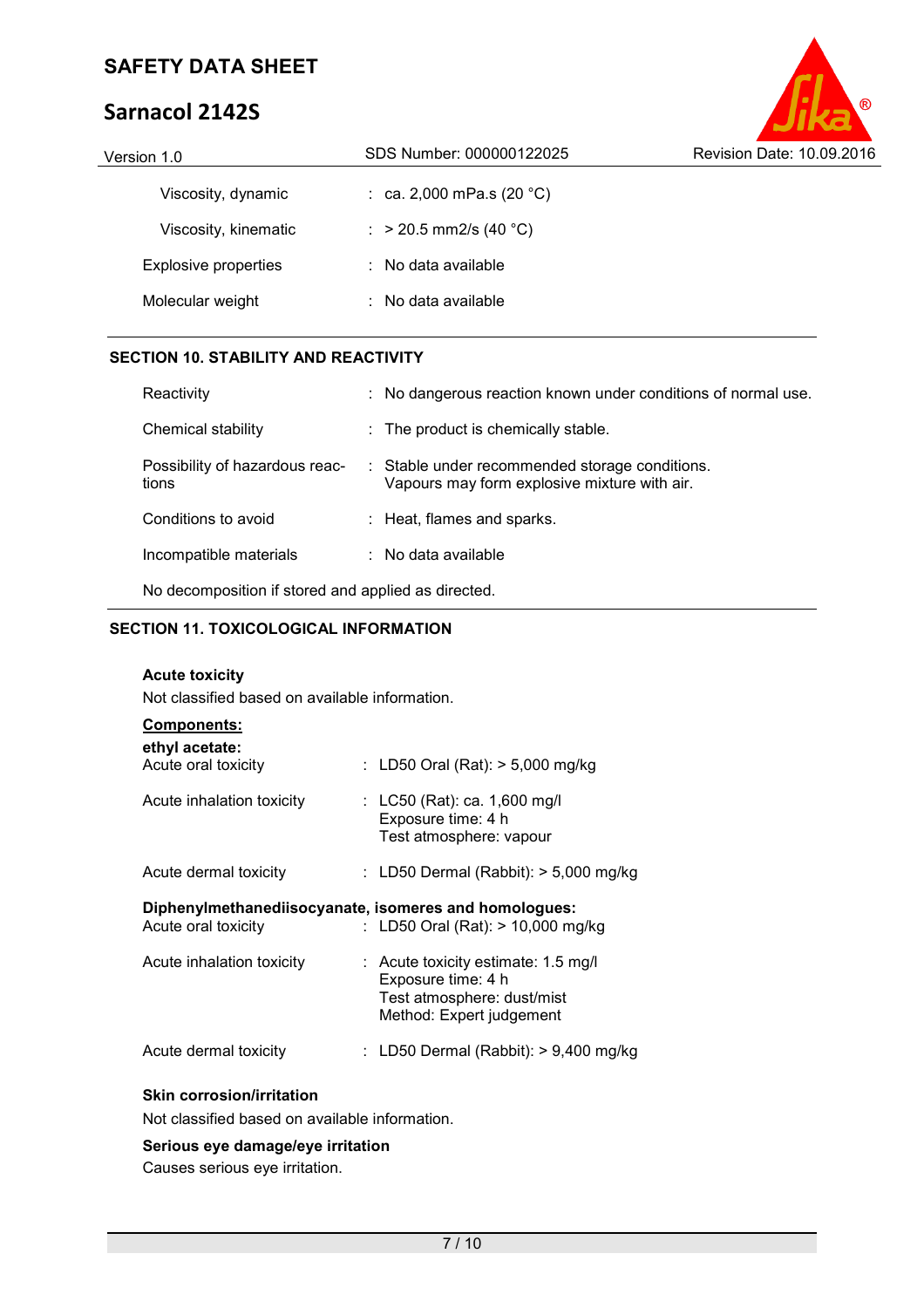# **Sarnacol 2142S**



| Version 1.0                 | SDS Number: 000000122025            | Revision Date: 10.09.2016 |  |
|-----------------------------|-------------------------------------|---------------------------|--|
| Viscosity, dynamic          | : ca. 2,000 mPa.s (20 $^{\circ}$ C) |                           |  |
| Viscosity, kinematic        | : > 20.5 mm2/s (40 °C)              |                           |  |
| <b>Explosive properties</b> | $\therefore$ No data available      |                           |  |
| Molecular weight            | $\therefore$ No data available      |                           |  |
|                             |                                     |                           |  |

### **SECTION 10. STABILITY AND REACTIVITY**

| Reactivity                                                                       | : No dangerous reaction known under conditions of normal use.                                  |
|----------------------------------------------------------------------------------|------------------------------------------------------------------------------------------------|
| Chemical stability                                                               | $\therefore$ The product is chemically stable.                                                 |
| Possibility of hazardous reac-<br>tions                                          | : Stable under recommended storage conditions.<br>Vapours may form explosive mixture with air. |
| Conditions to avoid                                                              | : Heat, flames and sparks.                                                                     |
| Incompatible materials                                                           | $\therefore$ No data available                                                                 |
| المساجد ومزاورهم المستلميون المستحل والمستحلم أأراد والمستحدث والمستحاة والمسالح |                                                                                                |

No decomposition if stored and applied as directed.

### **SECTION 11. TOXICOLOGICAL INFORMATION**

### **Acute toxicity**

Not classified based on available information.

| <b>Components:</b>                    |                                                                                                                       |
|---------------------------------------|-----------------------------------------------------------------------------------------------------------------------|
| ethyl acetate:<br>Acute oral toxicity | : LD50 Oral (Rat): $> 5,000$ mg/kg                                                                                    |
| Acute inhalation toxicity             | : LC50 (Rat): ca. 1,600 mg/l<br>Exposure time: 4 h<br>Test atmosphere: vapour                                         |
| Acute dermal toxicity                 | : LD50 Dermal (Rabbit): $> 5,000$ mg/kg                                                                               |
|                                       |                                                                                                                       |
| Acute oral toxicity                   | Diphenylmethanediisocyanate, isomeres and homologues:<br>: LD50 Oral (Rat): $> 10,000$ mg/kg                          |
| Acute inhalation toxicity             | $:$ Acute toxicity estimate: 1.5 mg/l<br>Exposure time: 4 h<br>Test atmosphere: dust/mist<br>Method: Expert judgement |
| Acute dermal toxicity                 | LD50 Dermal (Rabbit): $> 9,400$ mg/kg                                                                                 |

### **Skin corrosion/irritation**

Not classified based on available information.

#### **Serious eye damage/eye irritation**

Causes serious eye irritation.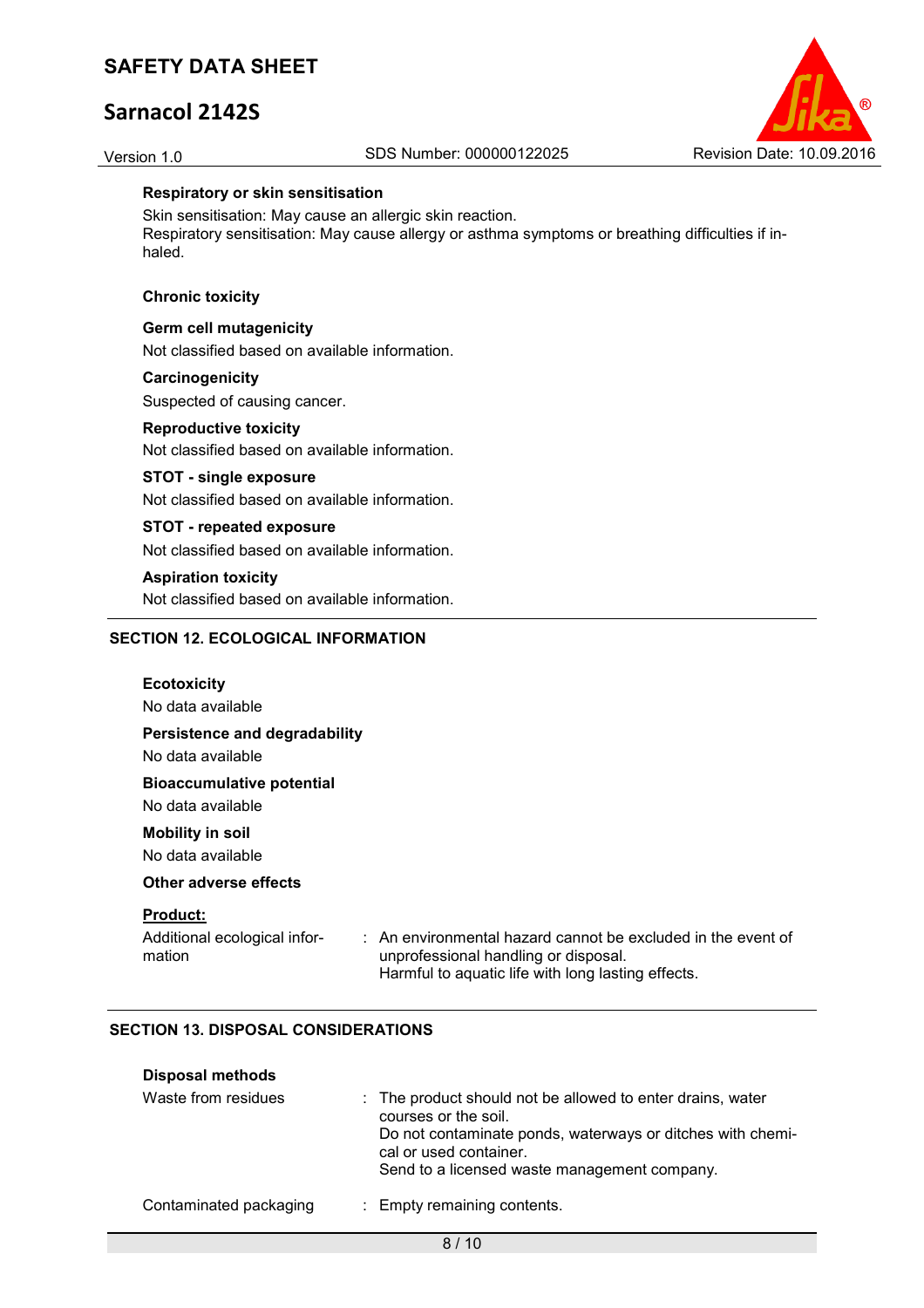# **Sarnacol 2142S**



#### **Respiratory or skin sensitisation**

Skin sensitisation: May cause an allergic skin reaction. Respiratory sensitisation: May cause allergy or asthma symptoms or breathing difficulties if inhaled.

#### **Chronic toxicity**

#### **Germ cell mutagenicity**

Not classified based on available information.

#### **Carcinogenicity**

Suspected of causing cancer.

#### **Reproductive toxicity**

Not classified based on available information.

#### **STOT - single exposure**

Not classified based on available information.

#### **STOT - repeated exposure**

Not classified based on available information.

#### **Aspiration toxicity**

Not classified based on available information.

### **SECTION 12. ECOLOGICAL INFORMATION**

| <b>Ecotoxicity</b><br>No data available                   |                                                                                                                                                                       |
|-----------------------------------------------------------|-----------------------------------------------------------------------------------------------------------------------------------------------------------------------|
| Persistence and degradability<br>No data available        |                                                                                                                                                                       |
| <b>Bioaccumulative potential</b><br>No data available     |                                                                                                                                                                       |
| <b>Mobility in soil</b><br>No data available              |                                                                                                                                                                       |
| Other adverse effects                                     |                                                                                                                                                                       |
| <b>Product:</b><br>Additional ecological infor-<br>mation | $\therefore$ An environmental hazard cannot be excluded in the event of<br>unprofessional handling or disposal.<br>Harmful to aquatic life with long lasting effects. |

### **SECTION 13. DISPOSAL CONSIDERATIONS**

| <b>Disposal methods</b> |                                                                                                                                                                                                                            |
|-------------------------|----------------------------------------------------------------------------------------------------------------------------------------------------------------------------------------------------------------------------|
| Waste from residues     | : The product should not be allowed to enter drains, water<br>courses or the soil.<br>Do not contaminate ponds, waterways or ditches with chemi-<br>cal or used container.<br>Send to a licensed waste management company. |
| Contaminated packaging  | : Empty remaining contents.                                                                                                                                                                                                |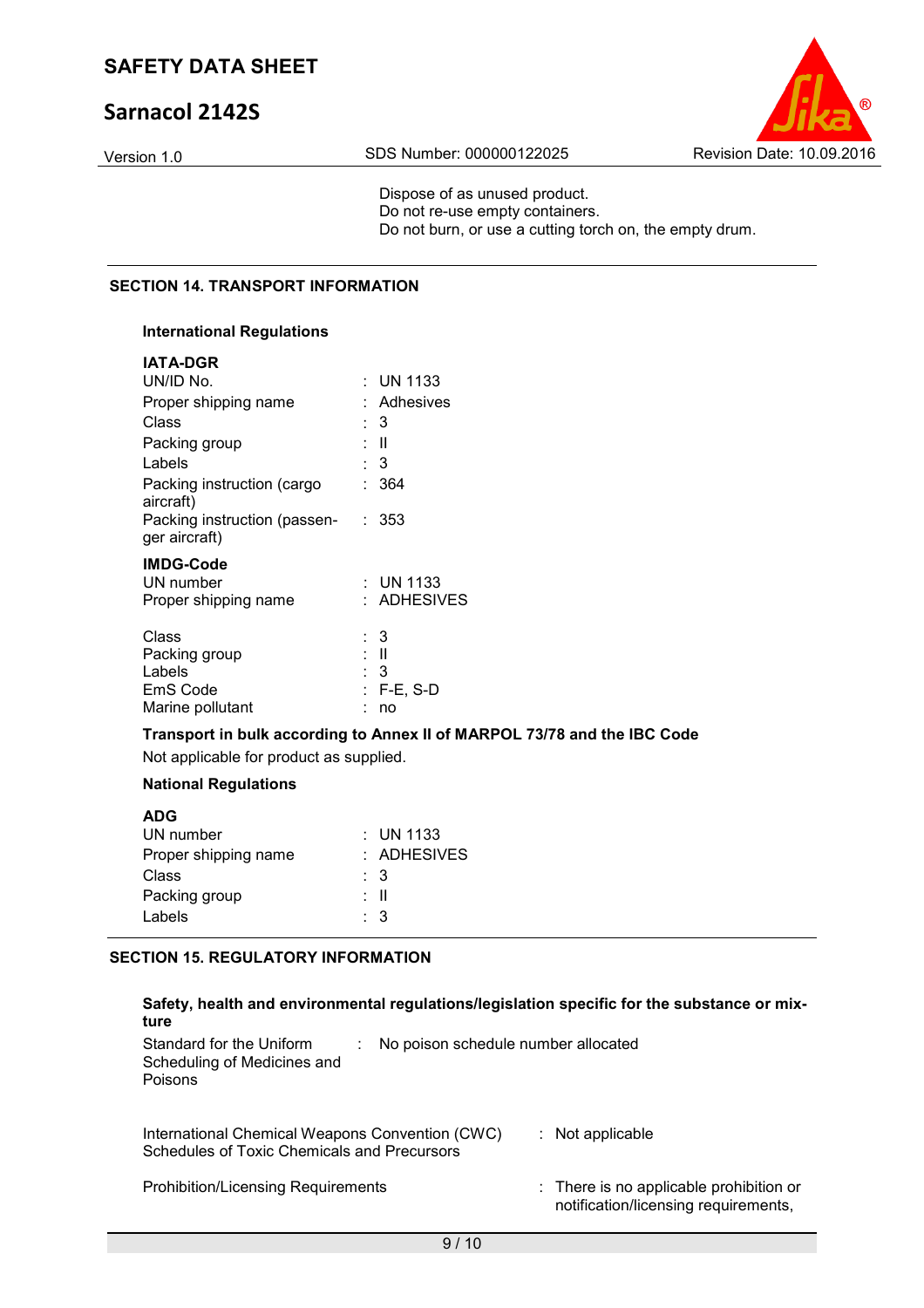# **Sarnacol 2142S**



Dispose of as unused product. Do not re-use empty containers. Do not burn, or use a cutting torch on, the empty drum.

### **SECTION 14. TRANSPORT INFORMATION**

### **International Regulations**

| : UN 1133                               |
|-----------------------------------------|
| Adhesives                               |
| : 3                                     |
| Ш                                       |
| : 3                                     |
| 364                                     |
| Packing instruction (passen- : 353      |
| : UN 1133<br>: ADHESIVES                |
| : 3<br>: II<br>: 3<br>$F-E$ , S-D<br>no |
| t.<br>t.                                |

### **Transport in bulk according to Annex II of MARPOL 73/78 and the IBC Code**

Not applicable for product as supplied.

### **National Regulations**

| $\therefore$ UN 1133 |
|----------------------|
| $:$ ADHESIVES        |
| : 3                  |
| : II                 |
| $\therefore$ 3       |
|                      |

#### **SECTION 15. REGULATORY INFORMATION**

| Safety, health and environmental regulations/legislation specific for the substance or mix-<br>ture              |                                                                                 |
|------------------------------------------------------------------------------------------------------------------|---------------------------------------------------------------------------------|
| Standard for the Uniform<br>No poison schedule number allocated<br>Scheduling of Medicines and<br><b>Poisons</b> |                                                                                 |
| International Chemical Weapons Convention (CWC)<br>Schedules of Toxic Chemicals and Precursors                   | : Not applicable                                                                |
| <b>Prohibition/Licensing Requirements</b>                                                                        | : There is no applicable prohibition or<br>notification/licensing requirements, |